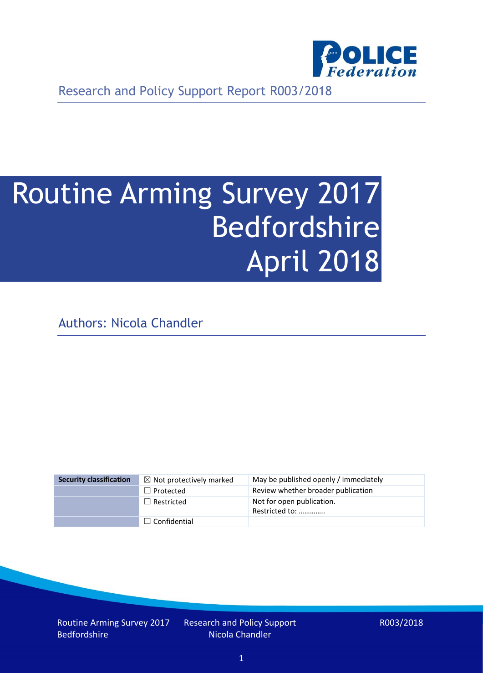

Research and Policy Support Report R003/2018

# Routine Arming Survey 2017 Bedfordshire April 2018

Authors: Nicola Chandler

| <b>Security classification</b> | $\boxtimes$ Not protectively marked | May be published openly / immediately       |
|--------------------------------|-------------------------------------|---------------------------------------------|
|                                | $\Box$ Protected                    | Review whether broader publication          |
|                                | $\Box$ Restricted                   | Not for open publication.<br>Restricted to: |
|                                | $\Box$ Confidential                 |                                             |

Routine Arming Survey 2017 Bedfordshire

Research and Policy Support Nicola Chandler

R003/2018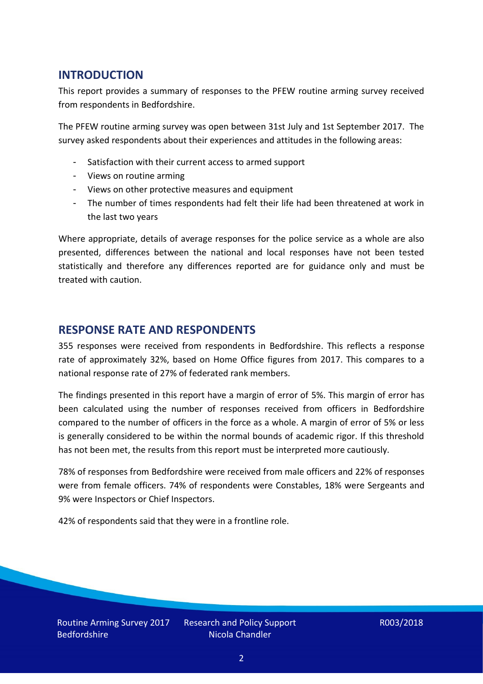## **INTRODUCTION**

This report provides a summary of responses to the PFEW routine arming survey received from respondents in Bedfordshire.

The PFEW routine arming survey was open between 31st July and 1st September 2017. The survey asked respondents about their experiences and attitudes in the following areas:

- Satisfaction with their current access to armed support
- Views on routine arming
- Views on other protective measures and equipment
- The number of times respondents had felt their life had been threatened at work in the last two years

Where appropriate, details of average responses for the police service as a whole are also presented, differences between the national and local responses have not been tested statistically and therefore any differences reported are for guidance only and must be treated with caution.

### **RESPONSE RATE AND RESPONDENTS**

355 responses were received from respondents in Bedfordshire. This reflects a response rate of approximately 32%, based on Home Office figures from 2017. This compares to a national response rate of 27% of federated rank members.

The findings presented in this report have a margin of error of 5%. This margin of error has been calculated using the number of responses received from officers in Bedfordshire compared to the number of officers in the force as a whole. A margin of error of 5% or less is generally considered to be within the normal bounds of academic rigor. If this threshold has not been met, the results from this report must be interpreted more cautiously.

78% of responses from Bedfordshire were received from male officers and 22% of responses were from female officers. 74% of respondents were Constables, 18% were Sergeants and 9% were Inspectors or Chief Inspectors.

42% of respondents said that they were in a frontline role.

Routine Arming Survey 2017 Bedfordshire

Research and Policy Support Nicola Chandler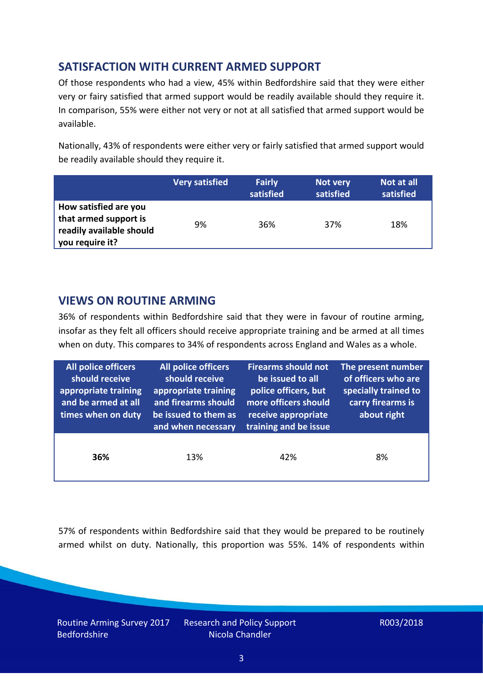# **SATISFACTION WITH CURRENT ARMED SUPPORT**

Of those respondents who had a view, 45% within Bedfordshire said that they were either very or fairy satisfied that armed support would be readily available should they require it. In comparison, 55% were either not very or not at all satisfied that armed support would be available.

Nationally, 43% of respondents were either very or fairly satisfied that armed support would be readily available should they require it.

|                                                                                               | <b>Very satisfied</b> | <b>Fairly</b><br>satisfied | Not very<br>satisfied | Not at all<br>satisfied |
|-----------------------------------------------------------------------------------------------|-----------------------|----------------------------|-----------------------|-------------------------|
| How satisfied are you<br>that armed support is<br>readily available should<br>you require it? | 9%                    | 36%                        | 37%                   | 18%                     |

### **VIEWS ON ROUTINE ARMING**

36% of respondents within Bedfordshire said that they were in favour of routine arming, insofar as they felt all officers should receive appropriate training and be armed at all times when on duty. This compares to 34% of respondents across England and Wales as a whole.

| <b>All police officers</b><br>should receive<br>appropriate training<br>and be armed at all<br>times when on duty | All police officers<br>should receive<br>appropriate training<br>and firearms should<br>be issued to them as<br>and when necessary | <b>Firearms should not</b><br>be issued to all<br>police officers, but<br>more officers should<br>receive appropriate<br>training and be issue | The present number<br>of officers who are<br>specially trained to<br>carry firearms is<br>about right |  |
|-------------------------------------------------------------------------------------------------------------------|------------------------------------------------------------------------------------------------------------------------------------|------------------------------------------------------------------------------------------------------------------------------------------------|-------------------------------------------------------------------------------------------------------|--|
| 36%                                                                                                               | 13%                                                                                                                                | 42%                                                                                                                                            | 8%                                                                                                    |  |

57% of respondents within Bedfordshire said that they would be prepared to be routinely armed whilst on duty. Nationally, this proportion was 55%. 14% of respondents within

Routine Arming Survey 2017 Bedfordshire

Research and Policy Support Nicola Chandler

R003/2018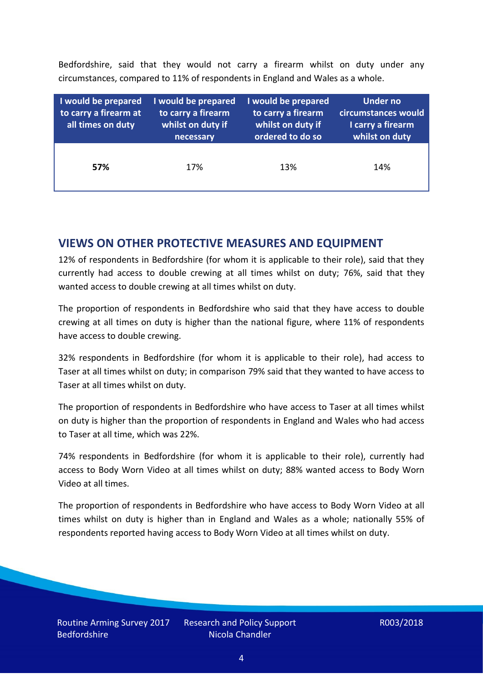Bedfordshire, said that they would not carry a firearm whilst on duty under any circumstances, compared to 11% of respondents in England and Wales as a whole.

| I would be prepared<br>to carry a firearm at<br>all times on duty | I would be prepared<br>to carry a firearm<br>whilst on duty if<br>necessary | I would be prepared<br>to carry a firearm<br>whilst on duty if<br>ordered to do so | Under no<br>circumstances would<br>I carry a firearm<br>whilst on duty |
|-------------------------------------------------------------------|-----------------------------------------------------------------------------|------------------------------------------------------------------------------------|------------------------------------------------------------------------|
| 57%                                                               | 17%                                                                         | 13%                                                                                | 14%                                                                    |

### **VIEWS ON OTHER PROTECTIVE MEASURES AND EQUIPMENT**

12% of respondents in Bedfordshire (for whom it is applicable to their role), said that they currently had access to double crewing at all times whilst on duty; 76%, said that they wanted access to double crewing at all times whilst on duty.

The proportion of respondents in Bedfordshire who said that they have access to double crewing at all times on duty is higher than the national figure, where 11% of respondents have access to double crewing.

32% respondents in Bedfordshire (for whom it is applicable to their role), had access to Taser at all times whilst on duty; in comparison 79% said that they wanted to have access to Taser at all times whilst on duty.

The proportion of respondents in Bedfordshire who have access to Taser at all times whilst on duty is higher than the proportion of respondents in England and Wales who had access to Taser at all time, which was 22%.

74% respondents in Bedfordshire (for whom it is applicable to their role), currently had access to Body Worn Video at all times whilst on duty; 88% wanted access to Body Worn Video at all times.

The proportion of respondents in Bedfordshire who have access to Body Worn Video at all times whilst on duty is higher than in England and Wales as a whole; nationally 55% of respondents reported having access to Body Worn Video at all times whilst on duty.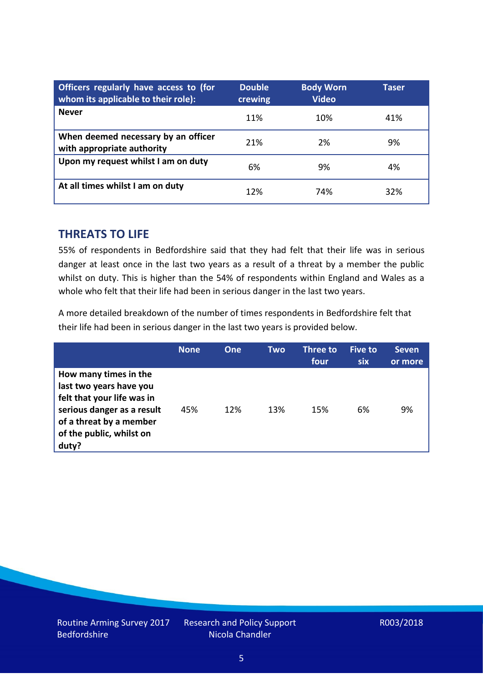| Officers regularly have access to (for<br>whom its applicable to their role): | <b>Double</b><br>crewing | <b>Body Worn</b><br><b>Video</b> | Taser |
|-------------------------------------------------------------------------------|--------------------------|----------------------------------|-------|
| <b>Never</b>                                                                  | 11%                      | 10%                              | 41%   |
| When deemed necessary by an officer<br>with appropriate authority             | 21%                      | 2%                               | 9%    |
| Upon my request whilst I am on duty                                           | 6%                       | 9%                               | 4%    |
| At all times whilst I am on duty                                              | 12%                      | 74%                              | 32%   |

#### **THREATS TO LIFE**

55% of respondents in Bedfordshire said that they had felt that their life was in serious danger at least once in the last two years as a result of a threat by a member the public whilst on duty. This is higher than the 54% of respondents within England and Wales as a whole who felt that their life had been in serious danger in the last two years.

A more detailed breakdown of the number of times respondents in Bedfordshire felt that their life had been in serious danger in the last two years is provided below.

|                                                                                                                                                                              | <b>None</b> | One | Two | Three to<br>four | Five to<br><b>six</b> | <b>Seven</b><br>or more |
|------------------------------------------------------------------------------------------------------------------------------------------------------------------------------|-------------|-----|-----|------------------|-----------------------|-------------------------|
| How many times in the<br>last two years have you<br>felt that your life was in<br>serious danger as a result<br>of a threat by a member<br>of the public, whilst on<br>duty? | 45%         | 12% | 13% | 15%              | 6%                    | 9%                      |

Research and Policy Support Nicola Chandler